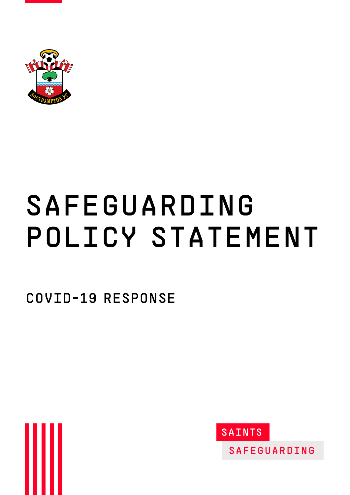

# Safeguarding policy statement

Covid-19 response



**SAINTS** 

**SAFEGUARDING**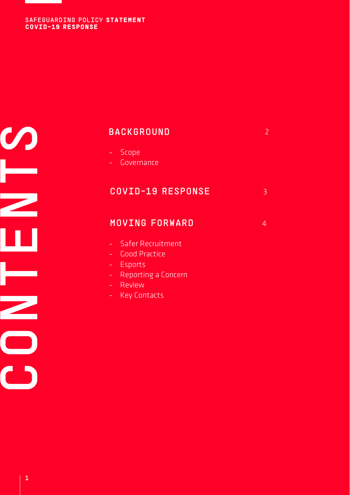$\boldsymbol{\mathcal{O}}$ CONTENTS  $\overline{\mathbf{C}}$ 

# **BACKGROUND**

- Scope
- Governance

| <b>COVID-19 RESPONSE</b> |  |
|--------------------------|--|
|--------------------------|--|

2

### MOVING FORWARD 4

- Safer Recruitment
- Good Practice
- Esports
- Reporting a Concern
- Review
- **Key Contacts**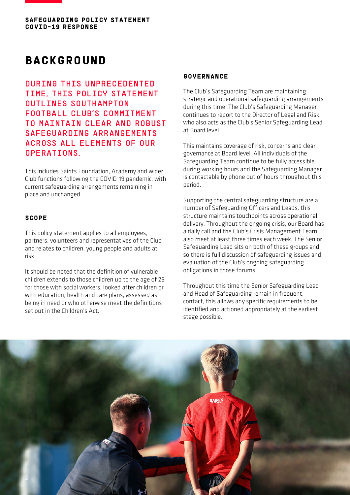

### **BACKGROUND**

During this unprecedented time, this policy statement outlines Southampton Football Club's commitment TO MAINTAIN CLEAR AND ROBUST safeguarding arrangements across all elements of our **OPERATIONS** 

This includes Saints Foundation, Academy and wider Club functions following the COVID-19 pandemic, with current safeguarding arrangements remaining in place and unchanged.

### **scope**

This policy statement applies to all employees, partners, volunteers and representatives of the Club and relates to children, young people and adults at risk.

It should be noted that the definition of vulnerable children extends to those children up to the age of 25 for those with social workers, looked after children or with education, health and care plans, assessed as being in need or who otherwise meet the definitions set out in the Children's Act.

### **Governance**

The Club's Safeguarding Team are maintaining strategic and operational safeguarding arrangements during this time. The Club's Safeguarding Manager continues to report to the Director of Legal and Risk who also acts as the Club's Senior Safeguarding Lead at Board level.

This maintains coverage of risk, concerns and clear governance at Board level. All individuals of the Safeguarding Team continue to be fully accessible during working hours and the Safeguarding Manager is contactable by phone out of hours throughout this period.

Supporting the central safeguarding structure are a number of Safeguarding Officers and Leads, this structure maintains touchpoints across operational delivery. Throughout the ongoing crisis, our Board has a daily call and the Club's Crisis Management Team also meet at least three times each week. The Senior Safeguarding Lead sits on both of these groups and so there is full discussion of safeguarding issues and evaluation of the Club's ongoing safeguarding obligations in those forums.

Throughout this time the Senior Safeguarding Lead and Head of Safeguarding remain in frequent, contact, this allows any specific requirements to be identified and actioned appropriately at the earliest stage possible.

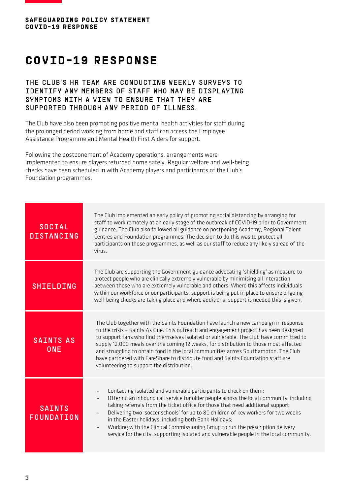

# **Covid-19 response**

### The Club's HR Team are conducting weekly surveys to identify any members of staff who may be displaying symptoms with a view to ensure that they are supported through any period of illness.

The Club have also been promoting positive mental health activities for staff during the prolonged period working from home and staff can access the Employee Assistance Programme and Mental Health First Aiders for support.

Following the postponement of Academy operations, arrangements were implemented to ensure players returned home safely. Regular welfare and well-being checks have been scheduled in with Academy players and participants of the Club's Foundation programmes.

| <b>SOCIAL</b><br><b>DISTANCING</b> | The Club implemented an early policy of promoting social distancing by arranging for<br>staff to work remotely at an early stage of the outbreak of COVID-19 prior to Government<br>guidance. The Club also followed all guidance on postponing Academy, Regional Talent<br>Centres and Foundation programmes. The decision to do this was to protect all<br>participants on those programmes, as well as our staff to reduce any likely spread of the<br>virus.                                                                                                                                            |
|------------------------------------|-------------------------------------------------------------------------------------------------------------------------------------------------------------------------------------------------------------------------------------------------------------------------------------------------------------------------------------------------------------------------------------------------------------------------------------------------------------------------------------------------------------------------------------------------------------------------------------------------------------|
| <b>SHIELDING</b>                   | The Club are supporting the Government guidance advocating 'shielding' as measure to<br>protect people who are clinically extremely vulnerable by minimising all interaction<br>between those who are extremely vulnerable and others. Where this affects individuals<br>within our workforce or our participants, support is being put in place to ensure ongoing<br>well-being checks are taking place and where additional support is needed this is given.                                                                                                                                              |
| <b>SAINTS AS</b><br>ONE            | The Club together with the Saints Foundation have launch a new campaign in response<br>to the crisis - Saints As One. This outreach and engagement project has been designed<br>to support fans who find themselves isolated or vulnerable. The Club have committed to<br>supply 12,000 meals over the coming 12 weeks, for distribution to those most affected<br>and struggling to obtain food in the local communities across Southampton. The Club<br>have partnered with FareShare to distribute food and Saints Foundation staff are<br>volunteering to support the distribution.                     |
| <b>SAINTS</b><br>FOUNDATION        | Contacting isolated and vulnerable participants to check on them;<br>Offering an inbound call service for older people across the local community, including<br>taking referrals from the ticket office for those that need additional support;<br>Delivering two 'soccer schools' for up to 80 children of key workers for two weeks<br>$\qquad \qquad \blacksquare$<br>in the Easter holidays, including both Bank Holidays;<br>Working with the Clinical Commissioning Group to run the prescription delivery<br>service for the city, supporting isolated and vulnerable people in the local community. |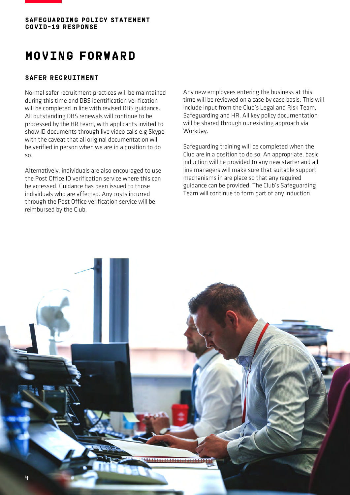

## **Moving forward**

#### **Safer recruitment**

Normal safer recruitment practices will be maintained during this time and DBS identification verification will be completed in line with revised DBS guidance. All outstanding DBS renewals will continue to be processed by the HR team, with applicants invited to show ID documents through live video calls e.g Skype with the caveat that all original documentation will be verified in person when we are in a position to do so.

Alternatively, individuals are also encouraged to use the Post Office ID verification service where this can be accessed. Guidance has been issued to those individuals who are affected. Any costs incurred through the Post Office verification service will be reimbursed by the Club.

Any new employees entering the business at this time will be reviewed on a case by case basis. This will include input from the Club's Legal and Risk Team, Safeguarding and HR. All key policy documentation will be shared through our existing approach via Workday.

Safeguarding training will be completed when the Club are in a position to do so. An appropriate, basic induction will be provided to any new starter and all line managers will make sure that suitable support mechanisms in are place so that any required guidance can be provided. The Club's Safeguarding Team will continue to form part of any induction.

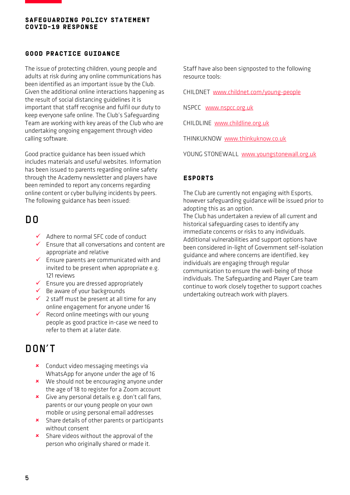### **Good practice guidance**

The issue of protecting children, young people and adults at risk during any online communications has been identified as an important issue by the Club. Given the additional online interactions happening as the result of social distancing guidelines it is important that staff recognise and fulfil our duty to keep everyone safe online. The Club's Safeguarding Team are working with key areas of the Club who are undertaking ongoing engagement through video calling software.

Good practice guidance has been issued which includes materials and useful websites. Information has been issued to parents regarding online safety through the Academy newsletter and players have been reminded to report any concerns regarding online content or cyber bullying incidents by peers. The following guidance has been issued:

### DO

- $\checkmark$  Adhere to normal SFC code of conduct
- $\checkmark$  Ensure that all conversations and content are appropriate and relative
- $\checkmark$  Ensure parents are communicated with and invited to be present when appropriate e.g. 121 reviews
- $\checkmark$  Ensure you are dressed appropriately
- $\checkmark$  Be aware of your backgrounds
- $\checkmark$  2 staff must be present at all time for any online engagement for anyone under 16
- $\checkmark$  Record online meetings with our young people as good practice in-case we need to refer to them at a later date.

### DON't

- **\*** Conduct video messaging meetings via WhatsApp for anyone under the age of 16
- **x** We should not be encouraging anyone under the age of 18 to register for a Zoom account
- **x** Give any personal details e.g. don't call fans, parents or our young people on your own mobile or using personal email addresses
- **x** Share details of other parents or participants without consent
- **x** Share videos without the approval of the person who originally shared or made it.

Staff have also been signposted to the following resource tools:

CHILDNET [www.childnet.com/young-people](http://www.childnet.com/young-people)

NSPCC [www.nspcc.org.uk](http://www.nspcc.org.uk/)

CHILDLINE [www.childline.org.uk](http://www.childline.org.uk/)

THINKUKNOW [www.thinkuknow.co.uk](http://www.thinkuknow.co.uk/)

YOUNG STONEWALL [www.youngstonewall.org.uk](http://www.youngstonewall.org.uk/)

### **Esports**

The Club are currently not engaging with Esports, however safeguarding guidance will be issued prior to adopting this as an option.

The Club has undertaken a review of all current and historical safeguarding cases to identify any immediate concerns or risks to any individuals. Additional vulnerabilities and support options have been considered in-light of Government self-isolation guidance and where concerns are identified, key individuals are engaging through regular communication to ensure the well-being of those individuals. The Safeguarding and Player Care team continue to work closely together to support coaches undertaking outreach work with players.